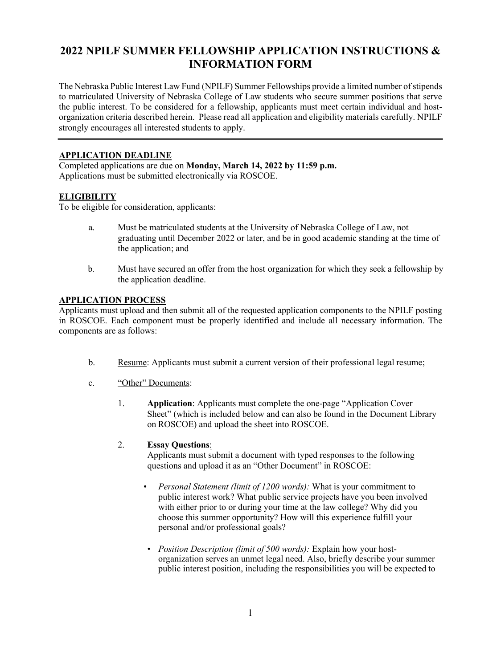# **2022 NPILF SUMMER FELLOWSHIP APPLICATION INSTRUCTIONS & INFORMATION FORM**

The Nebraska Public Interest Law Fund (NPILF) Summer Fellowships provide a limited number of stipends to matriculated University of Nebraska College of Law students who secure summer positions that serve the public interest. To be considered for a fellowship, applicants must meet certain individual and hostorganization criteria described herein. Please read all application and eligibility materials carefully. NPILF strongly encourages all interested students to apply.

# **APPLICATION DEADLINE**

Completed applications are due on **Monday, March 14, 2022 by 11:59 p.m.** Applications must be submitted electronically via ROSCOE.

# **ELIGIBILITY**

To be eligible for consideration, applicants:

- a. Must be matriculated students at the University of Nebraska College of Law, not graduating until December 2022 or later, and be in good academic standing at the time of the application; and
- b. Must have secured an offer from the host organization for which they seek a fellowship by the application deadline.

# **APPLICATION PROCESS**

Applicants must upload and then submit all of the requested application components to the NPILF posting in ROSCOE. Each component must be properly identified and include all necessary information. The components are as follows:

- b. Resume: Applicants must submit a current version of their professional legal resume;
- c. "Other" Documents:
	- 1. **Application**: Applicants must complete the one-page "Application Cover Sheet" (which is included below and can also be found in the Document Library on ROSCOE) and upload the sheet into ROSCOE.

# 2. **Essay Questions**:

Applicants must submit a document with typed responses to the following questions and upload it as an "Other Document" in ROSCOE:

- *Personal Statement (limit of 1200 words):* What is your commitment to public interest work? What public service projects have you been involved with either prior to or during your time at the law college? Why did you choose this summer opportunity? How will this experience fulfill your personal and/or professional goals?
- *Position Description (limit of 500 words):* Explain how your hostorganization serves an unmet legal need. Also, briefly describe your summer public interest position, including the responsibilities you will be expected to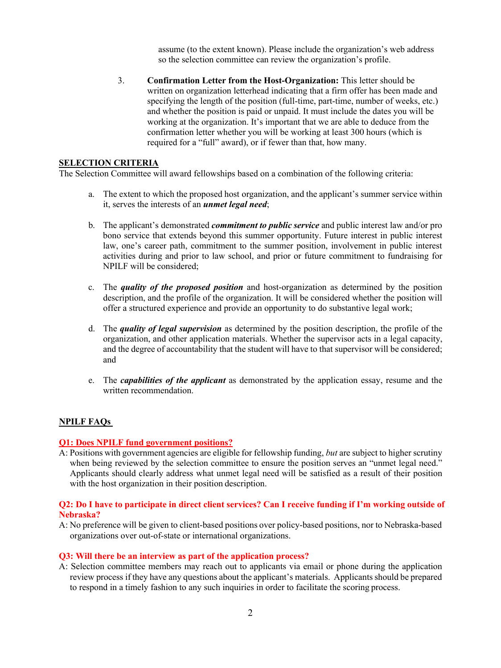assume (to the extent known). Please include the organization's web address so the selection committee can review the organization's profile.

3. **Confirmation Letter from the Host-Organization:** This letter should be written on organization letterhead indicating that a firm offer has been made and specifying the length of the position (full-time, part-time, number of weeks, etc.) and whether the position is paid or unpaid. It must include the dates you will be working at the organization. It's important that we are able to deduce from the confirmation letter whether you will be working at least 300 hours (which is required for a "full" award), or if fewer than that, how many.

### **SELECTION CRITERIA**

The Selection Committee will award fellowships based on a combination of the following criteria:

- a. The extent to which the proposed host organization, and the applicant's summer service within it, serves the interests of an *unmet legal need*;
- b. The applicant's demonstrated *commitment to public service* and public interest law and/or pro bono service that extends beyond this summer opportunity. Future interest in public interest law, one's career path, commitment to the summer position, involvement in public interest activities during and prior to law school, and prior or future commitment to fundraising for NPILF will be considered;
- c. The *quality of the proposed position* and host-organization as determined by the position description, and the profile of the organization. It will be considered whether the position will offer a structured experience and provide an opportunity to do substantive legal work;
- d. The *quality of legal supervision* as determined by the position description, the profile of the organization, and other application materials. Whether the supervisor acts in a legal capacity, and the degree of accountability that the student will have to that supervisor will be considered; and
- e. The *capabilities of the applicant* as demonstrated by the application essay, resume and the written recommendation.

### **NPILF FAQs**

### **Q1: Does NPILF fund government positions?**

A: Positions with government agencies are eligible for fellowship funding, *but* are subject to higher scrutiny when being reviewed by the selection committee to ensure the position serves an "unmet legal need." Applicants should clearly address what unmet legal need will be satisfied as a result of their position with the host organization in their position description.

### **Q2: Do I have to participate in direct client services? Can I receive funding if I'm working outside of Nebraska?**

A: No preference will be given to client-based positions over policy-based positions, nor to Nebraska-based organizations over out-of-state or international organizations.

#### **Q3: Will there be an interview as part of the application process?**

A: Selection committee members may reach out to applicants via email or phone during the application review process if they have any questions about the applicant's materials. Applicantsshould be prepared to respond in a timely fashion to any such inquiries in order to facilitate the scoring process.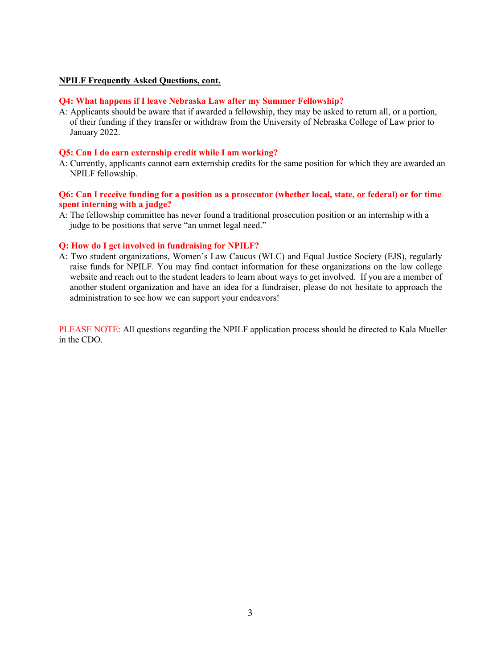### **NPILF Frequently Asked Questions, cont.**

# **Q4: What happens if I leave Nebraska Law after my Summer Fellowship?**

A: Applicants should be aware that if awarded a fellowship, they may be asked to return all, or a portion, of their funding if they transfer or withdraw from the University of Nebraska College of Law prior to January 2022.

### **Q5: Can I do earn externship credit while I am working?**

A: Currently, applicants cannot earn externship credits for the same position for which they are awarded an NPILF fellowship.

### **Q6: Can I receive funding for a position as a prosecutor (whether local, state, or federal) or for time spent interning with a judge?**

A: The fellowship committee has never found a traditional prosecution position or an internship with a judge to be positions that serve "an unmet legal need."

#### **Q: How do I get involved in fundraising for NPILF?**

A: Two student organizations, Women's Law Caucus (WLC) and Equal Justice Society (EJS), regularly raise funds for NPILF. You may find contact information for these organizations on the law college website and reach out to the student leaders to learn about ways to get involved. If you are a member of another student organization and have an idea for a fundraiser, please do not hesitate to approach the administration to see how we can support your endeavors!

PLEASE NOTE: All questions regarding the NPILF application process should be directed to Kala Mueller in the CDO.